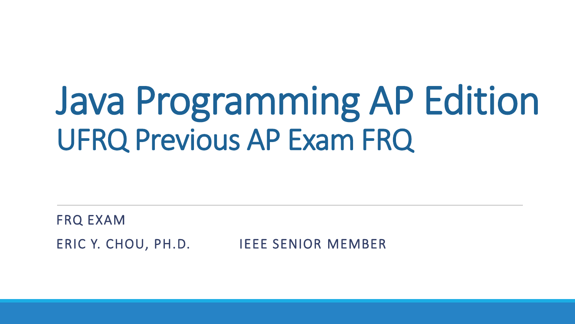# Java Programming AP Edition UFRQ Previous AP Exam FRQ

FRQ EXAM ERIC Y. CHOU, PH.D. IEEE SENIOR MEMBER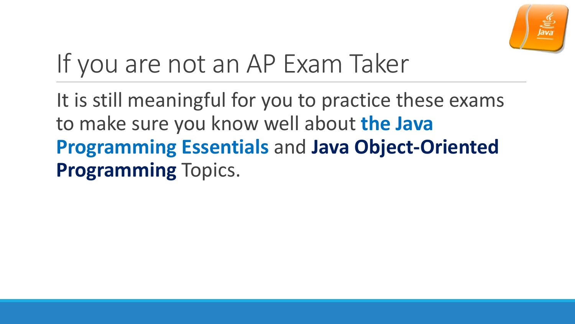

## If you are not an AP Exam Taker

It is still meaningful for you to practice these exams to make sure you know well about **the Java Programming Essentials** and **Java Object-Oriented Programming** Topics.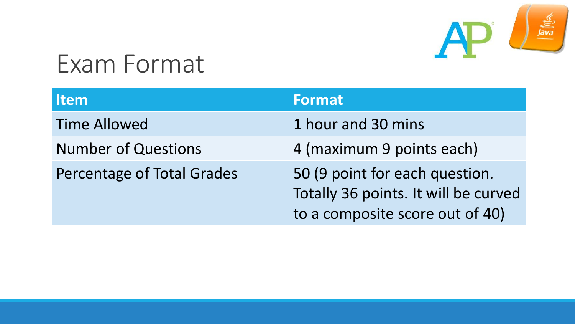

#### Exam Format

| <b>Item</b>                | <b>Format</b>                                                                                             |
|----------------------------|-----------------------------------------------------------------------------------------------------------|
| <b>Time Allowed</b>        | 1 hour and 30 mins                                                                                        |
| <b>Number of Questions</b> | 4 (maximum 9 points each)                                                                                 |
| Percentage of Total Grades | 50 (9 point for each question.<br>Totally 36 points. It will be curved<br>to a composite score out of 40) |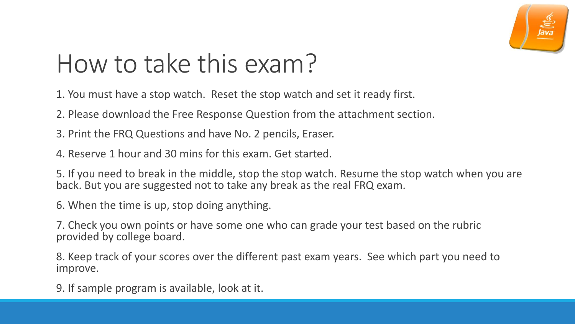

### How to take this exam?

1. You must have a stop watch. Reset the stop watch and set it ready first.

2. Please download the Free Response Question from the attachment section.

3. Print the FRQ Questions and have No. 2 pencils, Eraser.

4. Reserve 1 hour and 30 mins for this exam. Get started.

5. If you need to break in the middle, stop the stop watch. Resume the stop watch when you are back. But you are suggested not to take any break as the real FRQ exam.

6. When the time is up, stop doing anything.

7. Check you own points or have some one who can grade your test based on the rubric provided by college board.

8. Keep track of your scores over the different past exam years. See which part you need to improve.

9. If sample program is available, look at it.